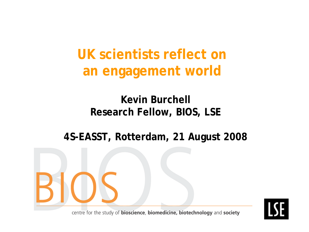**UK scientists reflect on an engagement world**

#### **Kevin Burchell Research Fellow, BIOS, LSE**

#### **4S-EASST, Rotterdam, 21 August 2008**

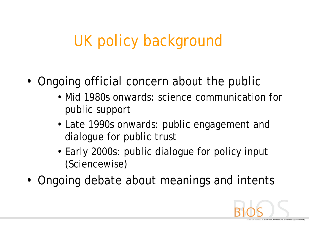#### UK policy background

- Ongoing official concern about the public
	- Mid 1980s onwards: science communication for public support
	- Late 1990s onwards: public engagement and dialogue for public trust
	- Early 2000s: public dialogue for policy input (Sciencewise)
- Ongoing debate about meanings and intents

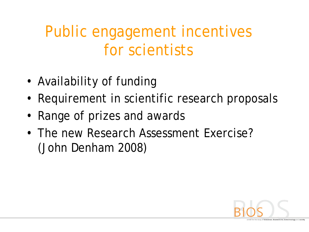### Public engagement incentives for scientists

- Availability of funding
- Requirement in scientific research proposals
- Range of prizes and awards
- The new Research Assessment Exercise? (John Denham 2008)

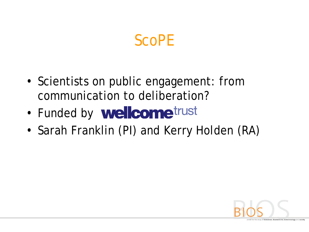#### ScoPE

- Scientists on public engagement: from communication to deliberation?
- Funded by **wellcome**trust
- Sarah Franklin (PI) and Kerry Holden (RA)

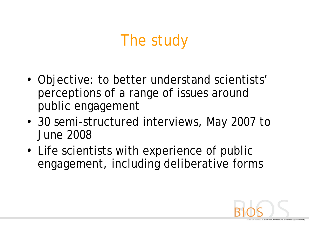#### The study

- Objective: to better understand scientists' perceptions of a range of issues around public engagement
- 30 semi-structured interviews, May 2007 to June 2008
- Life scientists with experience of public engagement, including deliberative forms

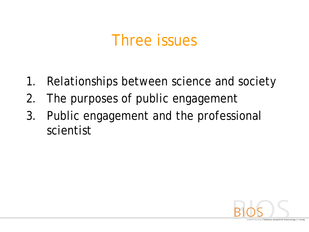#### Three issues

- 1. Relationships between science and society
- 2. The purposes of public engagement
- 3. Public engagement and the professional scientist

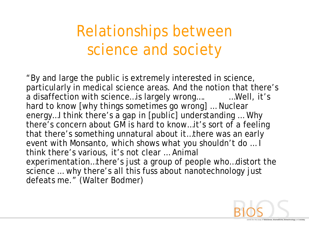### Relationships between science and society

"By and large the public is extremely interested in science, particularly in medical science areas. And the notion that there's a disaffection with science…is largely wrong…. …Well, it's hard to know [why things sometimes go wrong] ... Nuclear energy…I think there's a gap in [public] understanding … Why there's concern about GM is hard to know…it's sort of a feeling that there's something unnatural about it…there was an early event with Monsanto, which shows what you shouldn't do … I think there's various, it's not clear … Animal experimentation…there's just a group of people who…distort the science … why there's all this fuss about nanotechnology just defeats me." (Walter Bodmer)

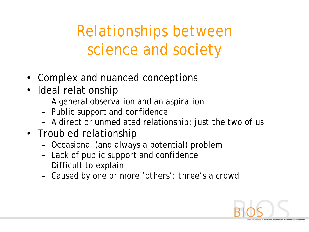## Relationships between science and society

- Complex and nuanced conceptions
- Ideal relationship
	- A general observation and an aspiration
	- Public support and confidence
	- A direct or unmediated relationship: *just the two of us*
- Troubled relationship
	- Occasional (and always a potential) problem
	- Lack of public support and confidence
	- Difficult to explain
	- Caused by one or more 'others': *three's a crowd*

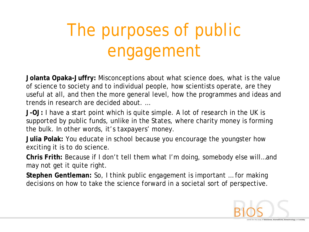# The purposes of public engagement

**Jolanta Opaka-Juffry:** Misconceptions about what science does, what is the value of science to society and to individual people, how scientists operate, are they useful at all, and then the more general level, how the programmes and ideas and trends in research are decided about. …

**J-OJ:** I have a start point which is quite simple. A lot of research in the UK is supported by public funds, unlike in the States, where charity money is forming the bulk. In other words, it's taxpayers' money.

**Julia Polak:** You educate in school because you encourage the youngster how exciting it is to do science.

**Chris Frith:** Because if I don't tell them what I'm doing, somebody else will…and may not get it quite right.

**Stephen Gentleman:** So, I think public engagement is important … for making decisions on how to take the science forward in a societal sort of perspective.

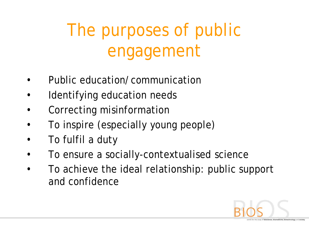# The purposes of public engagement

- Public education/communication
- Identifying education needs
- Correcting misinformation
- To inspire (especially young people)
- To fulfil a duty
- To ensure a socially-contextualised science
- To achieve the ideal relationship: public support and confidence

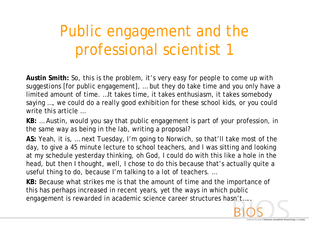## Public engagement and the professional scientist 1

**Austin Smith:** So, this is the problem, it's very easy for people to come up with suggestions [for public engagement], … but they do take time and you only have a limited amount of time. …It takes time, it takes enthusiasm, it takes somebody saying …, we could do a really good exhibition for these school kids, or you could write this article …

**KB:** … Austin, would you say that public engagement is part of your profession, in the same way as being in the lab, writing a proposal?

**AS:** Yeah, it is, … next Tuesday, I'm going to Norwich, so that'll take most of the day, to give a 45 minute lecture to school teachers, and I was sitting and looking at my schedule yesterday thinking, oh God, I could do with this like a hole in the head, but then I thought, well, I chose to do this because that's actually quite a useful thing to do, because I'm talking to a lot of teachers. …

**KB:** Because what strikes me is that the amount of time and the importance of this has perhaps increased in recent years, yet the ways in which public engagement is rewarded in academic science career structures hasn't…..

cience, biomedicine, biotechnology and soci-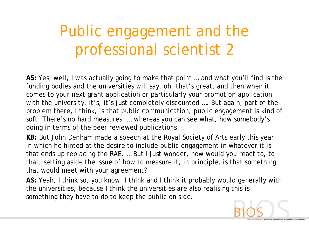## Public engagement and the professional scientist 2

**AS:** Yes, well, I was actually going to make that point … and what you'll find is the funding bodies and the universities will say, oh, that's great, and then when it comes to your next grant application or particularly your promotion application with the university, it's, it's just completely discounted .... But again, part of the problem there, I think, is that public communication, public engagement is kind of soft. There's no hard measures. … whereas you can see what, how somebody's doing in terms of the peer reviewed publications …

**KB:** But John Denham made a speech at the Royal Society of Arts early this year, in which he hinted at the desire to include public engagement in whatever it is that ends up replacing the RAE. … But I just wonder, how would you react to, to that, setting aside the issue of how to measure it, in principle, is that something that would meet with your agreement?

**AS:** Yeah, I think so, you know, I think and I think it probably would generally with the universities, because I think the universities are also realising this is something they have to do to keep the public on side.

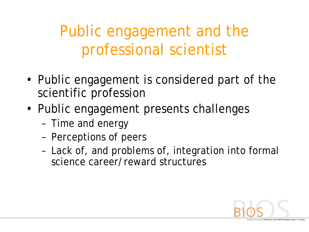Public engagement and the professional scientist

- Public engagement is considered part of the scientific profession
- Public engagement presents challenges
	- Time and energy
	- Perceptions of peers
	- Lack of, and problems of, integration into formal science career/reward structures

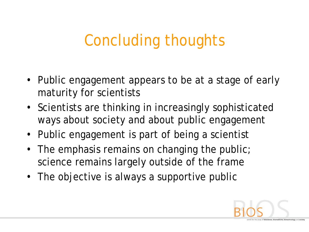### Concluding thoughts

- Public engagement appears to be at a stage of early maturity for scientists
- Scientists are thinking in increasingly sophisticated ways about society and about public engagement
- Public engagement is part of being a scientist
- The emphasis remains on changing the public; science remains largely outside of the frame
- The objective is always a supportive public